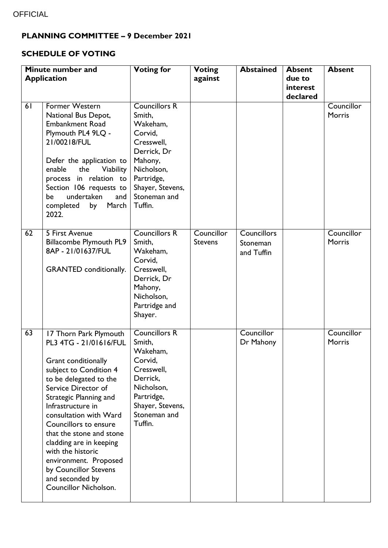## **PLANNING COMMITTEE – 9 December 2021**

## **SCHEDULE OF VOTING**

| Minute number and  |                                                                                                                                                                                                                                                                                                                                                                                                                                       | <b>Voting for</b>                                                                                                                                                        | <b>Voting</b>                | <b>Abstained</b>                      | <b>Absent</b>      | <b>Absent</b>        |
|--------------------|---------------------------------------------------------------------------------------------------------------------------------------------------------------------------------------------------------------------------------------------------------------------------------------------------------------------------------------------------------------------------------------------------------------------------------------|--------------------------------------------------------------------------------------------------------------------------------------------------------------------------|------------------------------|---------------------------------------|--------------------|----------------------|
| <b>Application</b> |                                                                                                                                                                                                                                                                                                                                                                                                                                       |                                                                                                                                                                          | against                      |                                       | due to<br>interest |                      |
|                    |                                                                                                                                                                                                                                                                                                                                                                                                                                       |                                                                                                                                                                          |                              |                                       | declared           |                      |
| 61                 | <b>Former Western</b><br>National Bus Depot,<br><b>Embankment Road</b><br>Plymouth PL4 9LQ -<br>21/00218/FUL<br>Defer the application to<br>enable<br>Viability<br>the<br>process in relation to<br>Section 106 requests to<br>undertaken<br>and<br>be<br>completed<br>by<br>March<br>2022.                                                                                                                                           | <b>Councillors R</b><br>Smith,<br>Wakeham,<br>Corvid,<br>Cresswell,<br>Derrick, Dr<br>Mahony,<br>Nicholson,<br>Partridge,<br>Shayer, Stevens,<br>Stoneman and<br>Tuffin. |                              |                                       |                    | Councillor<br>Morris |
| 62                 | 5 First Avenue<br><b>Billacombe Plymouth PL9</b><br>8AP - 21/01637/FUL<br><b>GRANTED</b> conditionally.                                                                                                                                                                                                                                                                                                                               | <b>Councillors R</b><br>Smith,<br>Wakeham,<br>Corvid,<br>Cresswell,<br>Derrick, Dr<br>Mahony,<br>Nicholson,<br>Partridge and<br>Shayer.                                  | Councillor<br><b>Stevens</b> | Councillors<br>Stoneman<br>and Tuffin |                    | Councillor<br>Morris |
| 63                 | 17 Thorn Park Plymouth<br>PL3 4TG - 21/01616/FUL<br><b>Grant conditionally</b><br>subject to Condition 4<br>to be delegated to the<br>Service Director of<br>Strategic Planning and<br>Infrastructure in<br>consultation with Ward<br>Councillors to ensure<br>that the stone and stone<br>cladding are in keeping<br>with the historic<br>environment. Proposed<br>by Councillor Stevens<br>and seconded by<br>Councillor Nicholson. | <b>Councillors R</b><br>Smith,<br>Wakeham,<br>Corvid,<br>Cresswell,<br>Derrick,<br>Nicholson,<br>Partridge,<br>Shayer, Stevens,<br>Stoneman and<br>Tuffin.               |                              | Councillor<br>Dr Mahony               |                    | Councillor<br>Morris |